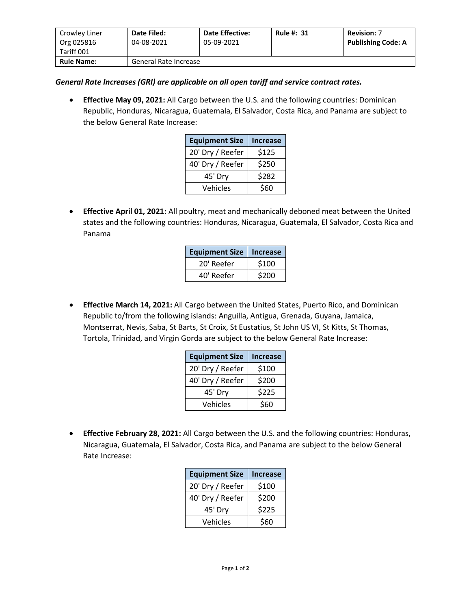| Crowley Liner<br>Org 025816<br>Tariff 001 | Date Filed:<br>04-08-2021 | <b>Date Effective:</b><br>05-09-2021 | <b>Rule #: 31</b> | <b>Revision: 7</b><br><b>Publishing Code: A</b> |
|-------------------------------------------|---------------------------|--------------------------------------|-------------------|-------------------------------------------------|
| <b>Rule Name:</b>                         | General Rate Increase     |                                      |                   |                                                 |

## *General Rate Increases (GRI) are applicable on all open tariff and service contract rates.*

• **Effective May 09, 2021:** All Cargo between the U.S. and the following countries: Dominican Republic, Honduras, Nicaragua, Guatemala, El Salvador, Costa Rica, and Panama are subject to the below General Rate Increase:

| <b>Equipment Size</b> | <b>Increase</b> |
|-----------------------|-----------------|
| 20' Dry / Reefer      | \$125           |
| 40' Dry / Reefer      | \$250           |
| 45' Dry               | \$282           |
| Vehicles              | \$60            |

• **Effective April 01, 2021:** All poultry, meat and mechanically deboned meat between the United states and the following countries: Honduras, Nicaragua, Guatemala, El Salvador, Costa Rica and Panama

| <b>Equipment Size</b> | <b>Increase</b> |
|-----------------------|-----------------|
| 20' Reefer            | \$100           |
| 40' Reefer            | \$200           |

• **Effective March 14, 2021:** All Cargo between the United States, Puerto Rico, and Dominican Republic to/from the following islands: Anguilla, Antigua, Grenada, Guyana, Jamaica, Montserrat, Nevis, Saba, St Barts, St Croix, St Eustatius, St John US VI, St Kitts, St Thomas, Tortola, Trinidad, and Virgin Gorda are subject to the below General Rate Increase:

| <b>Equipment Size</b> | <b>Increase</b> |
|-----------------------|-----------------|
| 20' Dry / Reefer      | \$100           |
| 40' Dry / Reefer      | \$200           |
| 45' Dry               | \$225           |
| Vehicles              | \$60            |

• **Effective February 28, 2021:** All Cargo between the U.S. and the following countries: Honduras, Nicaragua, Guatemala, El Salvador, Costa Rica, and Panama are subject to the below General Rate Increase:

| <b>Equipment Size</b> | <b>Increase</b> |
|-----------------------|-----------------|
| 20' Dry / Reefer      | \$100           |
| 40' Dry / Reefer      | \$200           |
| 45' Dry               | \$225           |
| Vehicles              | \$60            |